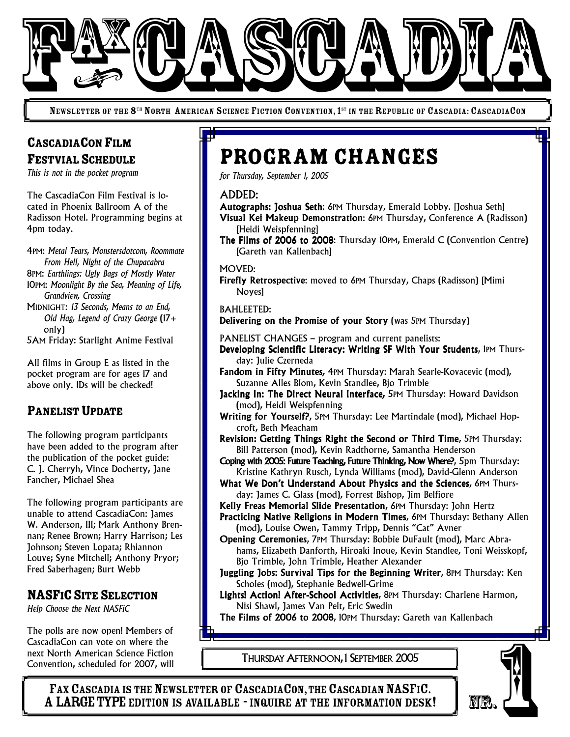

NEWSLETTER OF THE 8<sup>th</sup> North American Science Fiction Convention, 1<sup>st</sup> in the Republic of Cascadia: CascadiaCon

# CASCADIACON FILM FESTVIAL SCHEDULE

*This is not in the pocket program*

The CascadiaCon Film Festival is located in Phoenix Ballroom A of the Radisson Hotel. Programming begins at 4pm today.

4PM: *Metal Tears, Monstersdotcom, Roommate From Hell, Night of the Chupacabra* 8PM: *Earthlings: Ugly Bags of Mostly Water* 10PM: *Moonlight By the Sea, Meaning of Life, Grandview, Crossing* MIDNIGHT: *13 Seconds, Means to an End, Old Hag, Legend of Crazy George* (17+ only) 5AM Friday: Starlight Anime Festival

All films in Group E as listed in the pocket program are for ages 17 and above only. IDs will be checked!

### PANELIST UPDATE

The following program participants have been added to the program after the publication of the pocket guide: C. J. Cherryh, Vince Docherty, Jane Fancher, Michael Shea

The following program participants are unable to attend CascadiaCon: James W. Anderson, III; Mark Anthony Brennan; Renee Brown; Harry Harrison; Les Johnson; Steven Lopata; Rhiannon Louve; Syne Mitchell; Anthony Pryor; Fred Saberhagen; Burt Webb

### NASFICSITE SELECTION

*Help Choose the Next NASFiC*

The polls are now open! Members of CascadiaCon can vote on where the next North American Science Fiction Convention, scheduled for 2007, will

# Program Changes

*for Thursday, September 1, 2005*

#### ADDED:

Autographs: Joshua Seth: 6PM Thursday, Emerald Lobby. [Joshua Seth] Visual Kei Makeup Demonstration: 6PM Thursday, Conference A (Radisson) [Heidi Weispfenning]

The Films of 2006 to 2008: Thursday 10PM, Emerald C (Convention Centre) [Gareth van Kallenbach]

#### MOVED:

Firefly Retrospective: moved to 6PM Thursday, Chaps (Radisson) [Mimi Noyes]

#### BAHLEETED:

Delivering on the Promise of your Story (was 5PM Thursday)

- PANELIST CHANGES program and current panelists:
- Developing Scientific Literacy: Writing SF With Your Students, 1PM Thursday: Julie Czerneda
- Fandom in Fifty Minutes*,* 4PM Thursday: Marah Searle-Kovacevic (mod), Suzanne Alles Blom, Kevin Standlee, Bjo Trimble
- Jacking In: The Direct Neural Interface*,* 5PM Thursday: Howard Davidson (mod), Heidi Weispfenning
- Writing for Yourself?, 5PM Thursday: Lee Martindale (mod), Michael Hopcroft, Beth Meacham
- Revision: Getting Things Right the Second or Third Time, 5PM Thursday: Bill Patterson (mod), Kevin Radthorne, Samantha Henderson
- Coping with 2005: Future Teaching, Future Thinking, Now Where?, 5pm Thursday: Kristine Kathryn Rusch, Lynda Williams (mod), David-Glenn Anderson
- What We Don't Understand About Physics and the Sciences, 6PM Thursday: James C. Glass (mod), Forrest Bishop, Jim Belfiore
- Kelly Freas Memorial Slide Presentation, 6PM Thursday: John Hertz
- Practicing Native Religions in Modern Times, 6PM Thursday: Bethany Allen (mod), Louise Owen, Tammy Tripp, Dennis "Cat" Avner
- Opening Ceremonies, 7PM Thursday: Bobbie DuFault (mod), Marc Abrahams, Elizabeth Danforth, Hiroaki Inoue, Kevin Standlee, Toni Weisskopf, Bjo Trimble, John Trimble, Heather Alexander
- Juggling Jobs: Survival Tips for the Beginning Writer, 8PM Thursday: Ken Scholes (mod), Stephanie Bedwell-Grime
- Lights! Action! After-School Activities, 8PM Thursday: Charlene Harmon, Nisi Shawl, James Van Pelt, Eric Swedin

The Films of 2006 to 2008, 10PM Thursday: Gareth van Kallenbach

THURSDAY AFTERNOON, 1 SEPTEMBER 2005

FAX CASCADIA IS THE NEWSLETTER OF CASCADIACON, THE CASCADIAN NASFIC.<br>A LARGE TYPE EDITION IS AVAILABLE - INQUIRE AT THE INFORMATION DESK! AdiaCon can vote on where the<br>North American Science Fiction<br>Vention, scheduled for 2007, will<br>**FAX CASCADIA IS THE NEWSLETTER OF CASCADIACON, THE CASCADIAN NASFIC.**<br>**A LARGE TYPE EDITION IS AVAILABLE - INQUIRE AT THE INFO**